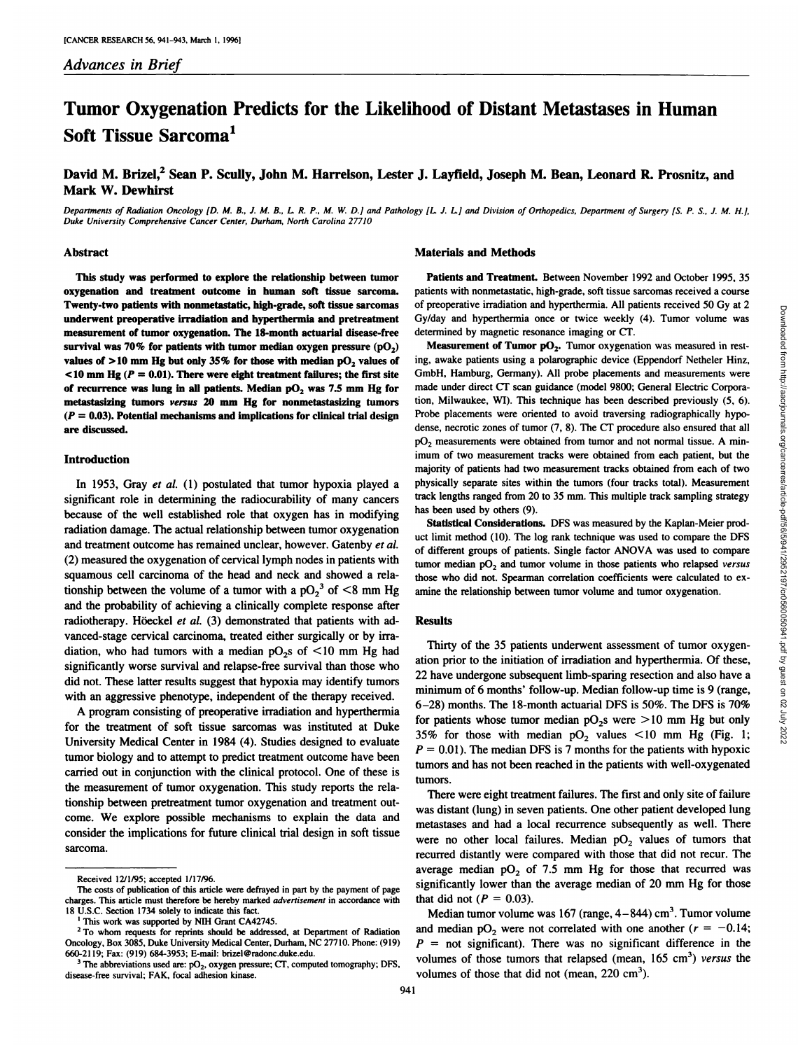# **Tumor Oxygenation Predicts for the Likelihood of Distant Metastases in Human Soft Tissue Sarcoma1**

# David M. Brizel,<sup>2</sup> Sean P. Scully, John M. Harrelson, Lester J. Layfield, Joseph M. Bean, Leonard R. Prosnitz, and Mark W. Dewhirst

Departments of Radiation Oncology [D. M. B., J. M. B., L. R. P., M. W. D.] and Pathology [L. J. L.] and Division of Orthopedics, Department of Surgery [S. P. S., J. M. H.], Duke University Comprehensive Cancer Center, Durham, North Carolina 27710

#### Abstract

This study was performed to explore the relationship between tumor oxygenation and treatment outcome in human soft tissue sarcoma. Twenty-two patients with nonmetastatic, high-grade, soft tissue sarcomas underwent preoperative irradiation and hyperthermia and pretreatment measurement of tumor oxygenation. The 18-month actuarial disease-free survival was 70% for patients with tumor median oxygen pressure  $(pO<sub>2</sub>)$ values of  $>10$  mm Hg but only 35% for those with median pO<sub>2</sub> values of  $10 \text{ mm Hg}$  ( $P = 0.01$ ). There were eight treatment failures; the first site **of recurrence was lung in all patients. Median p02 was 7.5 mm Hg for** metastasizing tumors versus 20 mm Hg for nonmetastasizing tumors *(P = 0.03). Potential mechanisms and implications for clinical trial design* are discussed.

### Introduction

**In 1953, Gray et al. (1) postulated that tumor hypoxia played a** significant role in determining the radiocurability of many cancers because of the well established role that oxygen has in modifying **radiation damage. The actual relationship between tumor oxygenation** and treatment outcome has remained unclear, however. Gatenby et al. (2) measured the oxygenation of cervical lymph nodes in patients with squamous cell carcinoma of the head and neck and showed a rela tionship between the volume of a tumor with a  $pO_2^3$  of  $\leq 8$  mm Hg and the probability of achieving a clinically complete response after radiotherapy. Höeckel et al. (3) demonstrated that patients with advanced-stage cervical carcinoma, treated either surgically or by irra diation, who had tumors with a median  $pO<sub>2</sub>$  of  $\leq 10$  mm Hg had significantly worse survival and relapse-free survival than those who did not.These latter results suggest that hypoxia may identify tumors with an aggressive phenotype, independent of the therapy received.

**A program consisting of preoperative irradiation and hyperthermia** for the treatment of soft tissue sarcomas was instituted at Duke **University Medical Center in 1984 (4). Studies designed to evaluate** tumor biology and to attempt to predict treatment outcome have been carried out in conjunction with the clinical protocol. One of these is **the measurement of tumor oxygenation. This study reports the rela** tionship between pretreatment tumor oxygenation and treatment out come. We explore possible mechanisms to explain the data and consider the implications for future clinical trial design in soft tissue sarcoma.

#### Materials and Methods

Patients and Treatment. Between November 1992 and October 1995, 35 patients with nonmetastatic, high-grade, soft tissue sarcomas received a course Gy/day and hyperthermia once or twice weekly (4). Tumor volume was determined by magnetic resonance imaging or CT.

of preoperative irradiation and hyperthermia. All patients received 50 Gy at 2 Gy/day and hyperthermia once or wice weekly (4). Tumor volume was the definition of Tumor poperation was measured in rest. Meanwentent of Tumo **Measurement of Tumor pO<sub>2</sub>.** Tumor oxygenation was measured in resting, awake patients using a polarographic device (Eppendorf Netheler Hinz, GmbH, Hamburg, Germany). All probe placements and measurements were made under direct CT scan guidance (model 9800; General Electric Corpora tion, Milwaukee, WI). This technique has been described previously (5, 6). Probe placements were oriented to avoid traversing radiographically hypo **dense, necrotic zones of tumor (7, 8). The CT procedure also ensured that all** pO<sub>2</sub> measurements were obtained from tumor and not normal tissue. A minimum of two measurement tracks were obtained from each patient, but the majority of patients had two measurement tracks obtained from each of two physically separate sites within the tumors (four tracks total). Measurement track lengths ranged from 20 to 35 mm. This multiple track sampling strategy has been used by others (9).

Statistical Considerations. DFS was measured by the Kaplan-Meier prod uct limit method (10). The log rank technique was used to compare the DFS of different groups of patients. Single factor ANOVA was used to compare tumor median  $pO<sub>2</sub>$  and tumor volume in those patients who relapsed versus those who did not. Spearman correlation coefficients were calculated to cx amine the relationship between tumor volume and tumor oxygenation.

## Results

Thirty of the 35 patients underwent assessment of tumor oxygen ation prior to the initiation of irradiation and hyperthermia. Of these, 22 have undergone subsequent limb-sparing resection and also have a minimum of 6 months' follow-up. Median follow-up time is 9 (range, 6–28) months. The 18-month actuarial DFS is 50%. The DFS is 70% for patients whose tumor median  $pO_2$ s were  $>10$  mm Hg but only **35%** for those with median  $pO_2$  values  $\lt 10$  mm Hg (Fig. 1; *P = 0.01). The median DFS is 7 months for the patients with hypoxic* tumors and has not been reached in the patients with well-oxygenated tumors.

There were eight treatment failures. The first and only site of failure was distant (lung) in seven patients. One other patient developed lung metastases and had a local recurrence subsequently as well. There were no other local failures. Median  $pO<sub>2</sub>$  values of tumors that recurred distantly were compared with those that did not recur. The average median  $pO<sub>2</sub>$  of 7.5 mm Hg for those that recurred was significantly lower than the average median of 20 mm Hg for those that did not ( $P = 0.03$ ).

Median tumor volume was  $167$  (range,  $4-844$ ) cm<sup>3</sup>. Tumor volume and median  $pO_2$  were not correlated with one another ( $r = -0.14$ ; *P = not significant). There was no significant difference in the* volumes of those tumors that relapsed (mean,  $165 \text{ cm}^3$ ) versus the volumes of those that did not (mean,  $220 \text{ cm}^3$ ).

Downloaded from http://aacrjournals.org/cancerres/article-pdf/56/5/941/2952197/cr0560050941.pdf by guest on 02 July 2022

Received 12/1/95; accepted 1/17/96.

**The costs of publication of this article were defrayed in part by the payment of page charges. This article must therefore be hereby marked advertisement in accordance with 18 U.S.C. Section 1734 solely to indicate this fact.**

**I This work was supported by NIH Grant CA42745.**

**<sup>2</sup> To whom requests for reprints should be addressed, at Department of Radiation** Oncology, Box 3085, Duke University Medical Center, Durham, NC 27710. Phone: (919) 660-2119; Fax: (919) 684-3953; E-mail: brizel@radonc.duke.edu.

**<sup>3</sup> The abbreviations used are: p02, oxygen pressure; CT, computed tomography; DFS,** disease-free survival; FAK, focal adhesion kinase.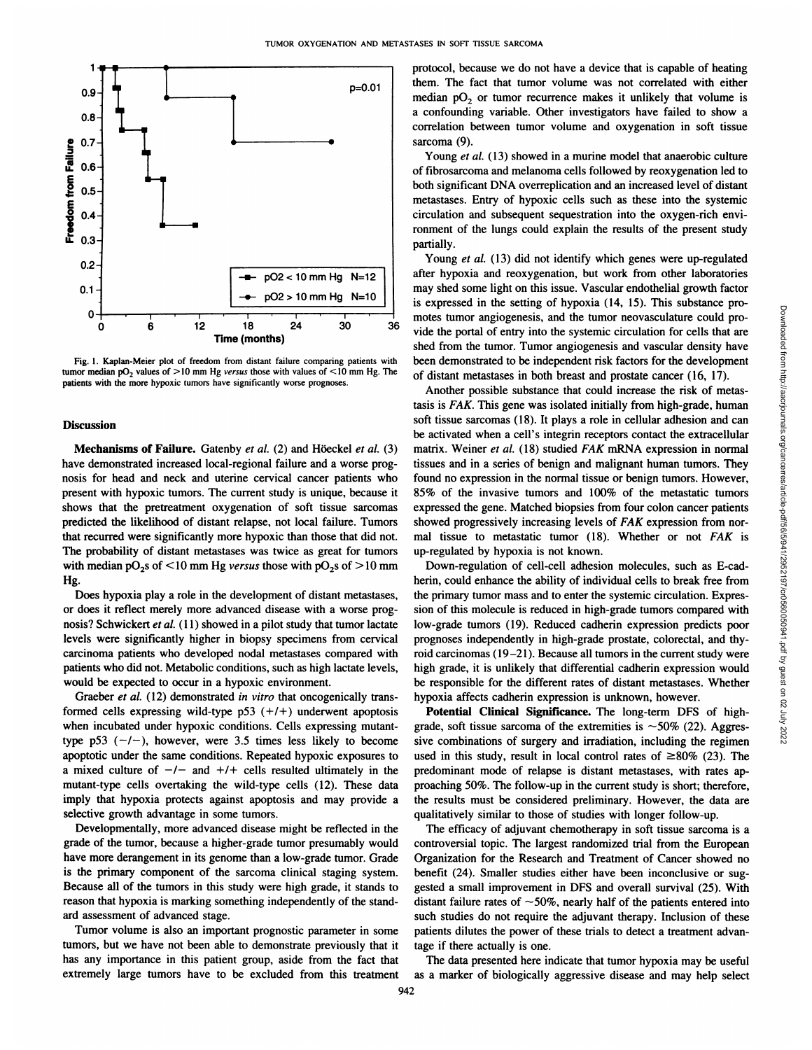

**Fig. 1. Kaplan-Meier plot of freedom from distant failure comparing patients with tumor** median  $pO_2$  values of  $>10$  mm Hg *versus* those with values of  $<10$  mm Hg. The **patients with the more hypoxic tumors have significantly worse prognoses.**

#### **Discussion**

Mechanisms of Failure. Gatenby et al. (2) and Höeckel et al. (3) have demonstrated increased local-regional failure and a worse prog nosis for head and neck and uterine cervical cancer patients who present with hypoxic tumors. The current study is unique, because it shows that the pretreatment oxygenation of soft tissue sarcomas predicted the likelihood of distant relapse, not local failure. Tumors that recurred were significantly more hypoxic than those that did not. **The probability of distant metastases was twice as great for tumors** with median  $pO_2$ s of  $\leq 10$  mm Hg *versus* those with  $pO_2$ s of  $\geq 10$  mm **Hg.**

Does hypoxia play a role in the development of distant metastases, **or does it reflect merely more advanced disease with a worse prog** nosis? Schwickert et al. (11) showed in a pilot study that tumor lactate levels were significantly higher in biopsy specimens from cervical carcinoma patients who developed nodal metastases compared with patients who did not. Metabolic conditions, such as high lactate levels, would be expected to occur in a hypoxic environment.

Graeber et al. (12) demonstrated in vitro that oncogenically transformed cells expressing wild-type  $p53 (+/+)$  underwent apoptosis when incubated under hypoxic conditions. Cells expressing mutant type p53  $(-/-)$ , however, were 3.5 times less likely to become apoptotic under the same conditions. Repeated hypoxic exposures to a mixed culture of  $-/-$  and  $+/+$  cells resulted ultimately in the mutant-type cells overtaking the wild-type cells (12). These data imply that hypoxia protects against apoptosis and may provide a selective growth advantage in some tumors.

Developmentally, more advanced disease might be reflected in the grade of the tumor, because a higher-grade tumor presumably would have more derangement in its genome than a low-grade tumor. Grade is the primary component of the sarcoma clinical staging system. Because all of the tumors in this study were high grade, it stands to reason that hypoxia is marking something independently of the stand ard assessment of advanced stage.

Tumor volume is also an important prognostic parameter in some tumors, but we have not been able to demonstrate previously that it has any importance in this patient group, aside from the fact that extremely large tumors have to be excluded from this treatment protocol, because we do not have a device that is capable of heating them. The fact that tumor volume was not correlated with either median  $pO<sub>2</sub>$  or tumor recurrence makes it unlikely that volume is a confounding variable. Other investigators have failed to show a correlation between tumor volume and oxygenation in soft tissue sarcoma (9).

Young et al. (13) showed in a murine model that anaerobic culture of fibrosarcoma and melanoma cells followed by reoxygenation led to both significant DNA overreplication and an increased level of distant metastases. Entry of hypoxic cells such as these into the systemic circulation and subsequent sequestration into the oxygen-rich envi ronment of the lungs could explain the results of the present study partially.

Young et al. (13) did not identify which genes were up-regulated after hypoxia and reoxygenation, but work from other laboratories may shed some light on this issue. Vascular endothelial growth factor motes tumor angiogenesis, and the tumor neovasculature could pro vide the portal of entry into the systemic circulation for cells that are shed from the tumor. Tumor angiogenesis and vascular density have been demonstrated to be independent risk factors for the development of distant metastases in both breast and prostate cancer (16, 17).

is expressed in the setting of hypoxia (14, 15). This substance pro-<br>moits tunn engiogenesis, and the tunnor neovasculature could pro-<br>vide the portal of entry into the systemic circulation for cells that are<br>shed from th Another possible substance that could increase the risk of metas tasis is FAK. This gene was isolated initially from high-grade, human soft tissue sarcomas (18). It plays a role in cellular adhesion and can be activated when a cell's integrin receptors contact the extracellular matrix. Weiner et al. (18) studied FAK mRNA expression in normal tissues and in a series of benign and malignant human tumors. They found no expression in the normal tissue or benign tumors. However, *85% of the invasive tumors and 100% of the metastatic tumors* expressed the gene. Matched biopsies from four colon cancer patients showed progressively increasing levels of FAK expression from nor mal tissue to metastatic tumor (18). Whether or not FAK is up-regulated by hypoxia is not known.

Down-regulation of cell-cell adhesion molecules, such as E-cad herin, could enhance the ability of individual cells to break free from the primary tumor mass and to enter the systemic circulation. Expres sion of this molecule is reduced in high-grade tumors compared with low-grade tumors (19). Reduced cadherin expression predicts poor prognoses independently in high-grade prostate, colorectal, and thy roid carcinomas  $(19-21)$ . Because all tumors in the current study were high grade, it is unlikely that differential cadherin expression would be responsible for the different rates of distant metastases. Whether hypoxia affects cadherin expression is unknown, however.

Potential Clinical Significance. The long-term DFS of highgrade, soft tissue sarcoma of the extremities is  $\sim$ 50% (22). Aggressive combinations of surgery and irradiation, including the regimen used in this study, result in local control rates of  $\geq 80\%$  (23). The predominant mode of relapse is distant metastases, with rates ap proaching 50%. The follow-up in the current study is short; therefore, the results must be considered preliminary. However, the data are qualitatively similar to those of studies with longer follow-up.

The efficacy of adjuvant chemotherapy in soft tissue sarcoma is a controversial topic. The largest randomized trial from the European Organization for the Research and Treatment of Cancer showed no benefit (24). Smaller studies either have been inconclusive or sug gested a small improvement in DFS and overall survival (25). With distant failure rates of  $\sim$  50%, nearly half of the patients entered into such studies do not require the adjuvant therapy. Inclusion of these patients dilutes the power of these trials to detect a treatment advan tage if there actually is one.

The data presented here indicate that tumor hypoxia may be useful as a marker of biologically aggressive disease and may help select